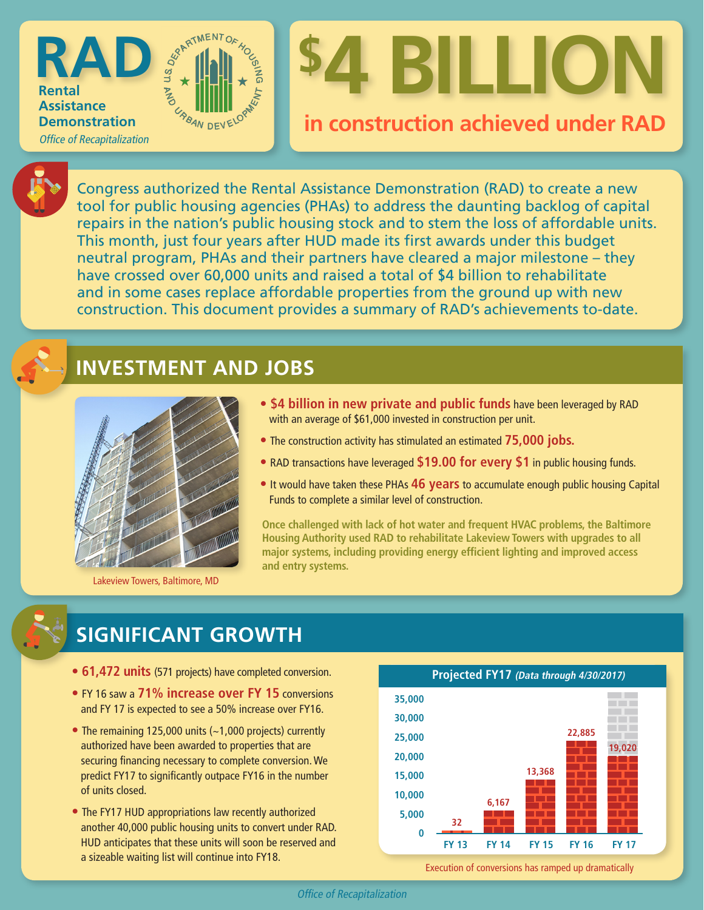

### **in construction achieved under RAD**



**Rental Assistance Demonstration**

**RAD**

Office of Recapitalization

Congress authorized the Rental Assistance Demonstration (RAD) to create a new tool for public housing agencies (PHAs) to address the daunting backlog of capital repairs in the nation's public housing stock and to stem the loss of affordable units. This month, just four years after HUD made its first awards under this budget neutral program, PHAs and their partners have cleared a major milestone – they have crossed over 60,000 units and raised a total of \$4 billion to rehabilitate and in some cases replace affordable properties from the ground up with new construction. This document provides a summary of RAD's achievements to-date.

#### **INVESTMENT AND JOBS**

**CRANDEVELO** 



Lakeview Towers, Baltimore, MD

- **\$4 billion in new private and public funds** have been leveraged by RAD with an average of \$61,000 invested in construction per unit.
- The construction activity has stimulated an estimated **75,000 jobs.**
- RAD transactions have leveraged **\$19.00 for every \$1** in public housing funds.
- It would have taken these PHAs **46 years** to accumulate enough public housing Capital Funds to complete a similar level of construction.

**Once challenged with lack of hot water and frequent HVAC problems, the Baltimore Housing Authority used RAD to rehabilitate Lakeview Towers with upgrades to all major systems, including providing energy efficient lighting and improved access and entry systems.**

#### **SIGNIFICANT GROWTH**

- **61,472 units** (571 projects) have completed conversion.
- FY 16 saw a **71% increase over FY 15** conversions and FY 17 is expected to see a 50% increase over FY16.
- The remaining 125,000 units (~1,000 projects) currently authorized have been awarded to properties that are securing financing necessary to complete conversion. We predict FY17 to significantly outpace FY16 in the number of units closed.
- The FY17 HUD appropriations law recently authorized another 40,000 public housing units to convert under RAD. HUD anticipates that these units will soon be reserved and a sizeable waiting list will continue into FY18.



Execution of conversions has ramped up dramatically